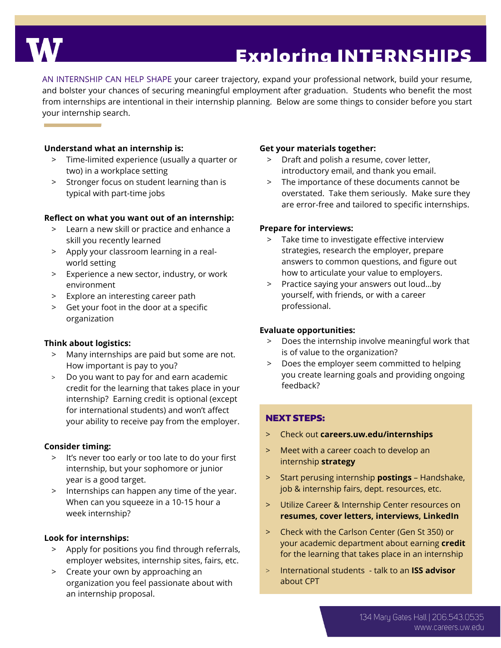

# Exploring INTERNSHIPS

AN INTERNSHIP CAN HELP SHAPE your career trajectory, expand your professional network, build your resume, and bolster your chances of securing meaningful employment after graduation. Students who benefit the most from internships are intentional in their internship planning. Below are some things to consider before you start your internship search.

#### **Understand what an internship is:**

- > Time-limited experience (usually a quarter or two) in a workplace setting
- > Stronger focus on student learning than is typical with part-time jobs

#### **Reflect on what you want out of an internship:**

- > Learn a new skill or practice and enhance a skill you recently learned
- > Apply your classroom learning in a realworld setting
- > Experience a new sector, industry, or work environment
- > Explore an interesting career path
- > Get your foot in the door at a specific organization

#### **Think about logistics:**

- > Many internships are paid but some are not. How important is pay to you?
- > Do you want to pay for and earn academic credit for the learning that takes place in your internship? Earning credit is optional (except for international students) and won't affect your ability to receive pay from the employer.

#### **Consider timing:**

- > It's never too early or too late to do your first internship, but your sophomore or junior year is a good target.
- > Internships can happen any time of the year. When can you squeeze in a 10-15 hour a week internship?

#### **Look for internships:**

- > Apply for positions you find through referrals, employer websites, internship sites, fairs, etc.
- > Create your own by approaching an organization you feel passionate about with an internship proposal.

#### **Get your materials together:**

- > Draft and polish a resume, cover letter, introductory email, and thank you email.
- > The importance of these documents cannot be overstated. Take them seriously. Make sure they are error-free and tailored to specific internships.

#### **Prepare for interviews:**

- > Take time to investigate effective interview strategies, research the employer, prepare answers to common questions, and figure out how to articulate your value to employers.
- > Practice saying your answers out loud…by yourself, with friends, or with a career professional.

#### **Evaluate opportunities:**

- > Does the internship involve meaningful work that is of value to the organization?
- > Does the employer seem committed to helping you create learning goals and providing ongoing feedback?

## NEXT STEPS:

- > Check out **careers.uw.edu/internships**
- > Meet with a career coach to develop an internship **strategy**
- > Start perusing internship **postings** Handshake, job & internship fairs, dept. resources, etc.
- > Utilize Career & Internship Center resources on **resumes, cover letters, interviews, LinkedIn**
- > Check with the Carlson Center (Gen St 350) or your academic department about earning **credit** for the learning that takes place in an internship
- > International students talk to an **ISS advisor** about CPT